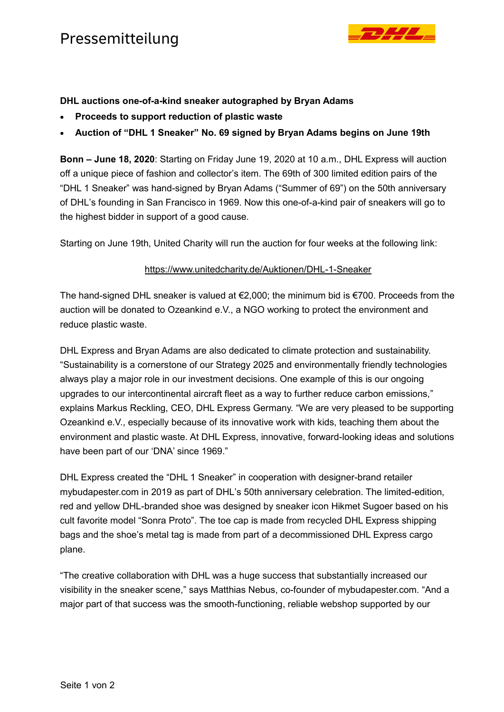

## **DHL auctions one-of-a-kind sneaker autographed by Bryan Adams**

- **Proceeds to support reduction of plastic waste**
- **Auction of "DHL 1 Sneaker" No. 69 signed by Bryan Adams begins on June 19th**

**Bonn – June 18, 2020**: Starting on Friday June 19, 2020 at 10 a.m., DHL Express will auction off a unique piece of fashion and collector's item. The 69th of 300 limited edition pairs of the "DHL 1 Sneaker" was hand-signed by Bryan Adams ("Summer of 69") on the 50th anniversary of DHL's founding in San Francisco in 1969. Now this one-of-a-kind pair of sneakers will go to the highest bidder in support of a good cause.

Starting on June 19th, United Charity will run the auction for four weeks at the following link:

## <https://www.unitedcharity.de/Auktionen/DHL-1-Sneaker>

The hand-signed DHL sneaker is valued at €2,000; the minimum bid is €700. Proceeds from the auction will be donated to Ozeankind e.V., a NGO working to protect the environment and reduce plastic waste.

DHL Express and Bryan Adams are also dedicated to climate protection and sustainability. "Sustainability is a cornerstone of our Strategy 2025 and environmentally friendly technologies always play a major role in our investment decisions. One example of this is our ongoing upgrades to our intercontinental aircraft fleet as a way to further reduce carbon emissions," explains Markus Reckling, CEO, DHL Express Germany. "We are very pleased to be supporting Ozeankind e.V., especially because of its innovative work with kids, teaching them about the environment and plastic waste. At DHL Express, innovative, forward-looking ideas and solutions have been part of our 'DNA' since 1969."

DHL Express created the "DHL 1 Sneaker" in cooperation with designer-brand retailer mybudapester.com in 2019 as part of DHL's 50th anniversary celebration. The limited-edition, red and yellow DHL-branded shoe was designed by sneaker icon Hikmet Sugoer based on his cult favorite model "Sonra Proto". The toe cap is made from recycled DHL Express shipping bags and the shoe's metal tag is made from part of a decommissioned DHL Express cargo plane.

"The creative collaboration with DHL was a huge success that substantially increased our visibility in the sneaker scene," says Matthias Nebus, co-founder of mybudapester.com. "And a major part of that success was the smooth-functioning, reliable webshop supported by our